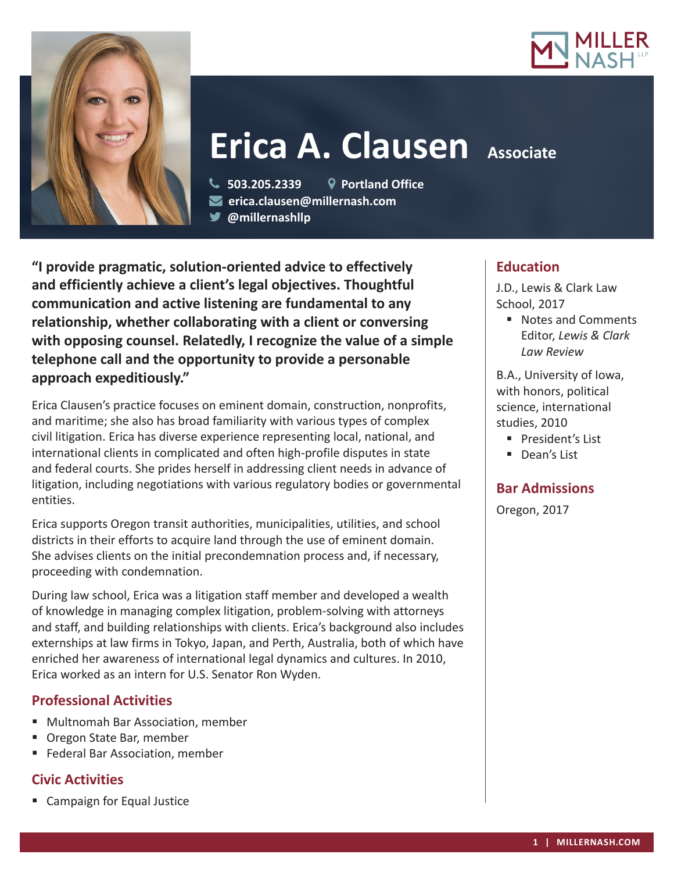



# **Erica A. Clausen** Associate

 **503.205.2339 Portland Office erica.clausen@millernash.com @millernashllp** 

**"I provide pragmatic, solution-oriented advice to effectively and efficiently achieve a client's legal objectives. Thoughtful communication and active listening are fundamental to any relationship, whether collaborating with a client or conversing with opposing counsel. Relatedly, I recognize the value of a simple telephone call and the opportunity to provide a personable approach expeditiously."**

Erica Clausen's practice focuses on eminent domain, construction, nonprofits, and maritime; she also has broad familiarity with various types of complex civil litigation. Erica has diverse experience representing local, national, and international clients in complicated and often high-profile disputes in state and federal courts. She prides herself in addressing client needs in advance of litigation, including negotiations with various regulatory bodies or governmental entities.

Erica supports Oregon transit authorities, municipalities, utilities, and school districts in their efforts to acquire land through the use of eminent domain. She advises clients on the initial precondemnation process and, if necessary, proceeding with condemnation.

During law school, Erica was a litigation staff member and developed a wealth of knowledge in managing complex litigation, problem-solving with attorneys and staff, and building relationships with clients. Erica's background also includes externships at law firms in Tokyo, Japan, and Perth, Australia, both of which have enriched her awareness of international legal dynamics and cultures. In 2010, Erica worked as an intern for U.S. Senator Ron Wyden.

# **Professional Activities**

- Multnomah Bar Association, member
- **Oregon State Bar, member**
- **Federal Bar Association, member**

# **Civic Activities**

■ Campaign for Equal Justice

# **Education**

J.D., Lewis & Clark Law School, 2017

■ Notes and Comments Editor, *Lewis & Clark Law Review*

B.A., University of Iowa, with honors, political science, international studies, 2010

- **President's List**
- Dean's List

# **Bar Admissions**

Oregon, 2017